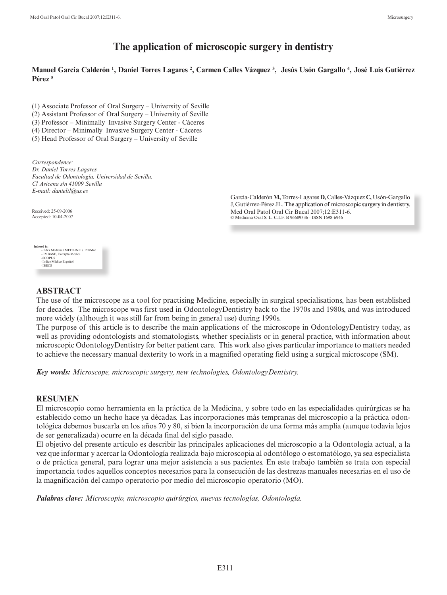# **The application of microscopic surgery in dentistry**

## **Manuel García Calderón 1 , Daniel Torres Lagares 2 , Carmen Calles Vázquez 3 , Jesús Usón Gargallo 4 , José Luis Gutiérrez Pérez 5**

(1) Associate Professor of Oral Surgery – University of Seville

(2) Assistant Professor of Oral Surgery – University of Seville

(3) Professor – Minimally Invasive Surgery Center - Cáceres

(4) Director – Minimally Invasive Surgery Center - Cáceres

(5) Head Professor of Oral Surgery – University of Seville

*Correspondence: Dr. Daniel Torres Lagares Facultad de Odontología. Universidad de Sevilla. C/ Avicena s/n 41009 Sevilla E-mail: danieltl@us.es*

> García-Calderón **M,** Torres-Lagares **D,** Calles-Vázquez **C,** Usón-Gargallo J, Gutiérrez-Pérez JL. The application of microscopic surgery in dentistry. Med Oral Patol Oral Cir Bucal 2007;12:E311-6. © Medicina Oral S. L. C.I.F. B 96689336 - ISSN 1698-6946

Received: 25-09-2006 Accepted: 10-04-2007

**Indexed in:** -Index Medicus / MEDLINE / PubMed<br>-EMBASE, Excerpta Medica<br>-SCOPUS<br>-Indice Médico Español<br>-IBECS

## **Abstract**

The use of the microscope as a tool for practising Medicine, especially in surgical specialisations, has been established for decades. The microscope was first used in OdontologyDentistry back to the 1970s and 1980s, and was introduced more widely (although it was still far from being in general use) during 1990s.

The purpose of this article is to describe the main applications of the microscope in OdontologyDentistry today, as well as providing odontologists and stomatologists, whether specialists or in general practice, with information about microscopic OdontologyDentistry for better patient care. This work also gives particular importance to matters needed to achieve the necessary manual dexterity to work in a magnified operating field using a surgical microscope (SM).

*Key words: Microscope, microscopic surgery, new technologies, OdontologyDentistry.* 

## **RESUMEN**

El microscopio como herramienta en la práctica de la Medicina, y sobre todo en las especialidades quirúrgicas se ha establecido como un hecho hace ya décadas. Las incorporaciones más tempranas del microscopio a la práctica odontológica debemos buscarla en los años 70 y 80, si bien la incorporación de una forma más amplia (aunque todavía lejos de ser generalizada) ocurre en la década final del siglo pasado.

El objetivo del presente artículo es describir las principales aplicaciones del microscopio a la Odontología actual, a la vez que informar y acercar la Odontología realizada bajo microscopia al odontólogo o estomatólogo, ya sea especialista o de práctica general, para lograr una mejor asistencia a sus pacientes. En este trabajo también se trata con especial importancia todos aquellos conceptos necesarios para la consecución de las destrezas manuales necesarias en el uso de la magnificación del campo operatorio por medio del microscopio operatorio (MO).

*Palabras clave: Microscopio, microscopio quirúrgico, nuevas tecnologías, Odontología.*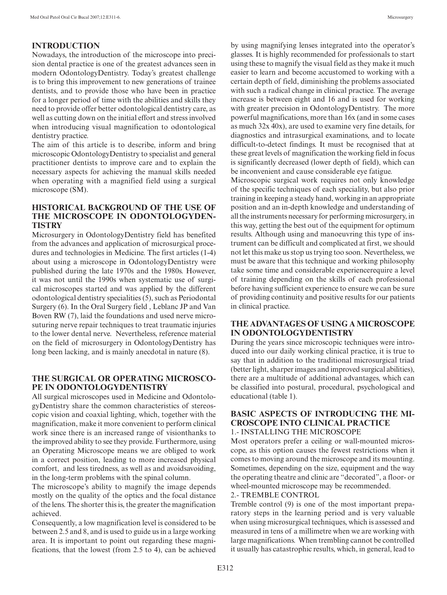## **INTRODUCTION**

Nowadays, the introduction of the microscope into precision dental practice is one of the greatest advances seen in modern OdontologyDentistry. Today's greatest challenge is to bring this improvement to new generations of trainee dentists, and to provide those who have been in practice for a longer period of time with the abilities and skills they need to provide offer better odontological dentistry care, as well as cutting down on the initial effort and stress involved when introducing visual magnification to odontological dentistry practice.

The aim of this article is to describe, inform and bring microscopic OdontologyDentistry to specialist and general practitioner dentists to improve care and to explain the necessary aspects for achieving the manual skills needed when operating with a magnified field using a surgical microscope (SM).

## **HISTORICAL BACKGROUND OF THE USE OF THE MICROSCOPE IN ODONTOLOGYDEN-TISTRY**

Microsurgery in OdontologyDentistry field has benefited from the advances and application of microsurgical procedures and technologies in Medicine. The first articles (1-4) about using a microscope in OdontologyDentistry were published during the late 1970s and the 1980s. However, it was not until the 1990s when systematic use of surgical microscopes started and was applied by the different odontological dentistry specialities (5), such as Periodontal Surgery (6). In the Oral Surgery field , Leblanc JP and Van Boven RW (7), laid the foundations and used nerve microsuturing nerve repair techniques to treat traumatic injuries to the lower dental nerve. Nevertheless, reference material on the field of microsurgery in OdontologyDentistry has long been lacking, and is mainly anecdotal in nature (8).

## **THE SURGICAL OR OPERATING MICROSCO-PE IN ODONTOLOGYDENTISTRY**

All surgical microscopes used in Medicine and OdontologyDentistry share the common characteristics of stereoscopic vision and coaxial lighting, which, together with the magnification, make it more convenient to perform clinical work since there is an increased range of visionthanks to the improved ability to see they provide. Furthermore, using an Operating Microscope means we are obliged to work in a correct position, leading to more increased physical comfort, and less tiredness, as well as and avoidsavoiding, in the long-term problems with the spinal column.

The microscope's ability to magnify the image depends mostly on the quality of the optics and the focal distance of the lens. The shorter this is, the greater the magnification achieved.

Consequently, a low magnification level is considered to be between 2.5 and 8, and is used to guide us in a large working area. It is important to point out regarding these magnifications, that the lowest (from 2.5 to 4), can be achieved by using magnifying lenses integrated into the operator's glasses. It is highly recommended for professionals to start using these to magnify the visual field as they make it much easier to learn and become accustomed to working with a certain depth of field, diminishing the problems associated with such a radical change in clinical practice. The average increase is between eight and 16 and is used for working with greater precision in OdontologyDentistry. The more powerful magnifications, more than 16x (and in some cases as much 32x 40x), are used to examine very fine details, for diagnostics and intrasurgical examinations, and to locate difficult-to-detect findings. It must be recognised that at these great levels of magnification the working field in focus is significantly decreased (lower depth of field), which can be inconvenient and cause considerable eye fatigue.

Microscopic surgical work requires not only knowledge of the specific techniques of each speciality, but also prior training in keeping a steady hand, working in an appropriate position and an in-depth knowledge and understanding of all the instruments necessary for performing microsurgery, in this way, getting the best out of the equipment for optimum results. Although using and manoeuvring this type of instrument can be difficult and complicated at first, we should not let this make us stop us trying too soon. Nevertheless, we must be aware that this technique and working philosophy take some time and considerable experiencerequire a level of training depending on the skills of each professional before having sufficient experience to ensure we can be sure of providing continuity and positive results for our patients in clinical practice.

## **THE ADVANTAGES OF USING A MICROSCOPE IN ODONTOLOGYDENTISTRY**

During the years since microscopic techniques were introduced into our daily working clinical practice, it is true to say that in addition to the traditional microsurgical triad (better light, sharper images and improved surgical abilities), there are a multitude of additional advantages, which can be classified into postural, procedural, psychological and educational (table 1).

## **BASIC ASPECTS OF INTRODUCING THE MI-CROSCOPE INTO CLINICAL PRACTICE**

#### 1.- INSTALLING THE MICROSCOPE

Most operators prefer a ceiling or wall-mounted microscope, as this option causes the fewest restrictions when it comes to moving around the microscope and its mounting. Sometimes, depending on the size, equipment and the way the operating theatre and clinic are "decorated", a floor- or wheel-mounted microscope may be recommended.

#### 2.- TREMBLE CONTROL

Tremble control (9) is one of the most important preparatory steps in the learning period and is very valuable when using microsurgical techniques, which is assessed and measured in tens of a millimetre when we are working with large magnifications. When trembling cannot be controlled it usually has catastrophic results, which, in general, lead to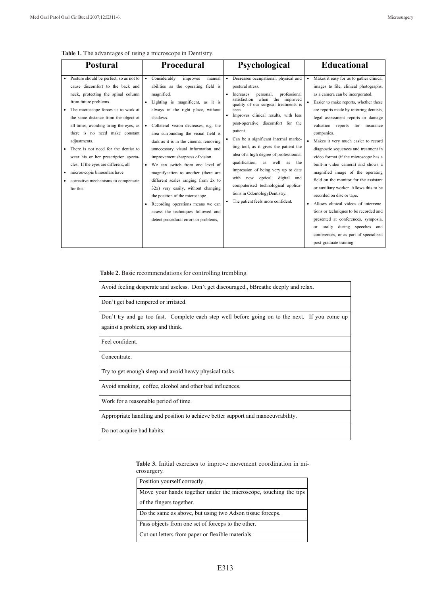|  | <b>Table 1.</b> The advantages of using a microscope in Dentistry. |  |  |  |  |
|--|--------------------------------------------------------------------|--|--|--|--|
|  |                                                                    |  |  |  |  |

| • Posture should be perfect, so as not to<br>Considerably<br>Decreases occupational, physical and<br>improves<br>manual<br>$\bullet$<br>$\bullet$<br>cause discomfort to the back and<br>abilities as the operating field is<br>postural stress.<br>neck, protecting the spinal column<br>magnified.<br>professional<br>Increases<br>personal,<br>$\bullet$<br>the improved<br>when<br>satisfaction<br>from future problems.<br>· Lighting is magnificent, as it is<br>quality of our surgical treatments is<br>The microscope forces us to work at<br>always in the right place, without<br>seen.<br>Improves clinical results, with less<br>the same distance from the object at<br>shadows.<br>post-operative discomfort for the<br>all times, avoiding tiring the eyes, as<br>• Collateral vision decreases, e.g. the<br>patient.<br>there is no need make constant<br>area surrounding the visual field is<br>Can be a significant internal marke-<br>$\bullet$<br>adjustments.<br>dark as it is in the cinema, removing<br>ting tool, as it gives the patient the<br>There is not need for the dentist to<br>unnecessary visual information and<br>idea of a high degree of professionnal<br>improvement sharpness of vision.<br>wear his or her prescription specta-<br>qualification, as well<br>as<br>the<br>cles. If the eyes are different, all<br>• We can switch from one level of | <b>Educational</b>                                                                                                                                                                                                                                                                                                                                                                                                                                                                                                                                                                                                                                                                                                                                                                                                                                                              |
|-------------------------------------------------------------------------------------------------------------------------------------------------------------------------------------------------------------------------------------------------------------------------------------------------------------------------------------------------------------------------------------------------------------------------------------------------------------------------------------------------------------------------------------------------------------------------------------------------------------------------------------------------------------------------------------------------------------------------------------------------------------------------------------------------------------------------------------------------------------------------------------------------------------------------------------------------------------------------------------------------------------------------------------------------------------------------------------------------------------------------------------------------------------------------------------------------------------------------------------------------------------------------------------------------------------------------------------------------------------------------------------------------|---------------------------------------------------------------------------------------------------------------------------------------------------------------------------------------------------------------------------------------------------------------------------------------------------------------------------------------------------------------------------------------------------------------------------------------------------------------------------------------------------------------------------------------------------------------------------------------------------------------------------------------------------------------------------------------------------------------------------------------------------------------------------------------------------------------------------------------------------------------------------------|
| impression of being very up to date<br>micros-copic binoculars have<br>magnifycation to another (there are<br>optical,<br>digital<br>with new<br>and<br>different scales ranging from 2x to<br>corrective mechanisms to compensate<br>$\bullet$<br>computerised technological applica-<br>32x) very easily, without changing<br>for this.<br>tions in OdontologyDentistry.<br>the position of the microscope.<br>The patient feels more confident.<br>$\bullet$<br>Recording operations means we can<br>٠<br>assess the techniques followed and<br>detect procedural errors or problems,                                                                                                                                                                                                                                                                                                                                                                                                                                                                                                                                                                                                                                                                                                                                                                                                        | Makes it easy for us to gather clinical<br>٠<br>images to file, clinical photographs,<br>as a camera can be incorporated.<br>Easier to make reports, whether these<br>are reports made by referring dentists,<br>legal assessment reports or damage<br>valuation reports<br>for insurance<br>companies.<br>Makes it very much easier to record<br>$\bullet$<br>diagnostic sequences and treatment in<br>video format (if the microscope has a<br>built-in video camera) and shows a<br>magnified image of the operating<br>field on the monitor for the assistant<br>or auxiliary worker. Allows this to be<br>recorded on disc or tape.<br>Allows clinical videos of intervene-<br>٠<br>tions or techniques to be recorded and<br>presented at conferences, symposia,<br>orally during speeches and<br>or<br>conferences, or as part of specialised<br>post-graduate training. |

**Table 2.** Basic recommendations for controlling trembling.

| Avoid feeling desperate and useless. Don't get discouraged., bBreathe deeply and relax.        |  |  |  |  |  |
|------------------------------------------------------------------------------------------------|--|--|--|--|--|
| Don't get bad tempered or irritated.                                                           |  |  |  |  |  |
| Don't try and go too fast. Complete each step well before going on to the next. If you come up |  |  |  |  |  |
| against a problem, stop and think.                                                             |  |  |  |  |  |
| Feel confident.                                                                                |  |  |  |  |  |
| Concentrate.                                                                                   |  |  |  |  |  |
| Try to get enough sleep and avoid heavy physical tasks.                                        |  |  |  |  |  |
| Avoid smoking, coffee, alcohol and other bad influences.                                       |  |  |  |  |  |
| Work for a reasonable period of time.                                                          |  |  |  |  |  |
| Appropriate handling and position to achieve better support and manoeuvrability.               |  |  |  |  |  |
| Do not acquire bad habits.                                                                     |  |  |  |  |  |

**Table 3.** Initial exercises to improve movement coordination in microsurgery.

| Position yourself correctly.                                     |  |  |
|------------------------------------------------------------------|--|--|
| Move your hands together under the microscope, touching the tips |  |  |
| of the fingers together.                                         |  |  |
| Do the same as above, but using two Adson tissue forceps.        |  |  |
| Pass objects from one set of forceps to the other.               |  |  |
| Cut out letters from paper or flexible materials.                |  |  |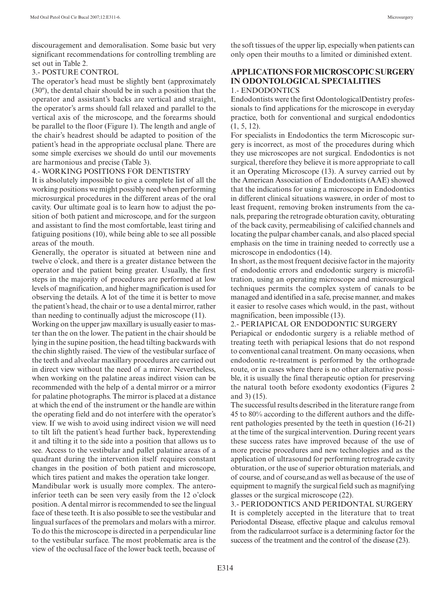discouragement and demoralisation. Some basic but very significant recommendations for controlling trembling are set out in Table 2.

#### 3.- POSTURE CONTROL

The operator's head must be slightly bent (approximately (30º), the dental chair should be in such a position that the operator and assistant's backs are vertical and straight, the operator's arms should fall relaxed and parallel to the vertical axis of the microscope, and the forearms should be parallel to the floor (Figure 1). The length and angle of the chair's headrest should be adapted to position of the patient's head in the appropriate occlusal plane. There are some simple exercises we should do until our movements are harmonious and precise (Table 3).

#### 4.- WORKING POSITIONS FOR DENTISTRY

It is absolutely impossible to give a complete list of all the working positions we might possibly need when performing microsurgical procedures in the different areas of the oral cavity. Our ultimate goal is to learn how to adjust the position of both patient and microscope, and for the surgeon and assistant to find the most comfortable, least tiring and fatiguing positions (10), while being able to see all possible areas of the mouth.

Generally, the operator is situated at between nine and twelve o'clock, and there is a greater distance between the operator and the patient being greater. Usually, the first steps in the majority of procedures are performed at low levels of magnification, and higher magnification is used for observing the details. A lot of the time it is better to move the patient's head, the chair or to use a dental mirror, rather than needing to continually adjust the microscope (11).

Working on the upper jaw maxillary is usually easier to master than the on the lower. The patient in the chair should be lying in the supine position, the head tilting backwards with the chin slightly raised. The view of the vestibular surface of the teeth and alveolar maxillary procedures are carried out in direct view without the need of a mirror. Nevertheless, when working on the palatine areas indirect vision can be recommended with the help of a dental mirror or a mirror for palatine photographs. The mirror is placed at a distance at which the end of the instrument or the handle are within the operating field and do not interfere with the operator's view. If we wish to avoid using indirect vision we will need to tilt lift the patient's head further back, hyperextending it and tilting it to the side into a position that allows us to see. Access to the vestibular and pallet palatine areas of a quadrant during the intervention itself requires constant changes in the position of both patient and microscope, which tires patient and makes the operation take longer.

Mandibular work is usually more complex. The anteroinferior teeth can be seen very easily from the 12 o'clock position. A dental mirror is recommended to see the lingual face of these teeth. It is also possible to see the vestibular and lingual surfaces of the premolars and molars with a mirror. To do this the microscope is directed in a perpendicular line to the vestibular surface. The most problematic area is the view of the occlusal face of the lower back teeth, because of the soft tissues of the upper lip, especially when patients can only open their mouths to a limited or diminished extent.

#### **APPLICATIONS FOR MICROSCOPIC SURGERY IN ODONTOLOGICAL SPECIALITIES** 1.- ENDODONTICS

Endodontists were the first OdontologicalDentistry professionals to find applications for the microscope in everyday practice, both for conventional and surgical endodontics (1, 5, 12).

For specialists in Endodontics the term Microscopic surgery is incorrect, as most of the procedures during which they use microscopes are not surgical. Endodontics is not surgical, therefore they believe it is more appropriate to call it an Operating Microscope (13). A survey carried out by the American Association of Endodontists (AAE) showed that the indications for using a microscope in Endodontics in different clinical situations waswere, in order of most to least frequent, removing broken instruments from the canals, preparing the retrograde obturation cavity, obturating of the back cavity, permeabilising of calcified channels and locating the pulpar chamber canals, and also placed special emphasis on the time in training needed to correctly use a microscope in endodontics (14).

In short, as the most frequent decisive factor in the majority of endodontic errors and endodontic surgery is microfiltration, using an operating microscope and microsurgical techniques permits the complex system of canals to be managed and identified in a safe, precise manner, and makes it easier to resolve cases which would, in the past, without magnification, been impossible (13).

#### 2.- PERIAPICAL OR ENDODONTIC SURGERY

Periapical or endodontic surgery is a reliable method of treating teeth with periapical lesions that do not respond to conventional canal treatment. On many occasions, when endodontic re-treatment is performed by the orthograde route, or in cases where there is no other alternative possible, it is usually the final therapeutic option for preserving the natural tooth before exodonty exodontics (Figures 2 and 3) (15).

The successful results described in the literature range from 45 to 80% according to the different authors and the different pathologies presented by the teeth in question (16-21) at the time of the surgical intervention. During recent years these success rates have improved because of the use of more precise procedures and new technologies and as the application of ultrasound for performing retrograde cavity obturation, or the use of superior obturation materials, and of course, and of course,and as well as because of the use of equipment to magnify the surgical field such as magnifying glasses or the surgical microscope (22).

3.- PERIODONTICS AND PERIDONTAL SURGERY It is completely accepted in the literature that to treat Periodontal Disease, effective plaque and calculus removal from the radicularroot surface is a determining factor for the success of the treatment and the control of the disease (23).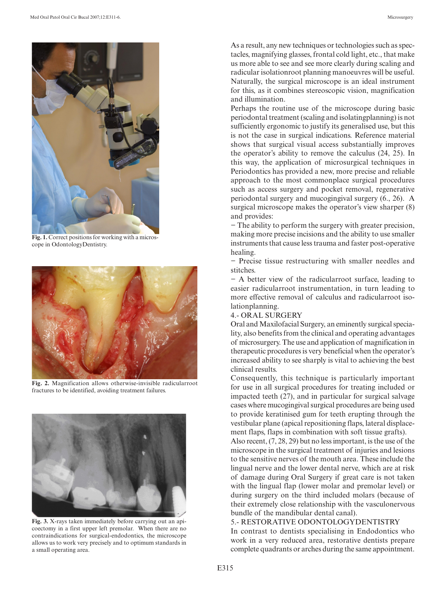

**Fig. 1.** Correct positions for working with a microscope in OdontologyDentistry.



**Fig. 2.** Magnification allows otherwise-invisible radicularroot fractures to be identified, avoiding treatment failures.



**Fig. 3.** X-rays taken immediately before carrying out an apicoectomy in a first upper left premolar. When there are no contraindications for surgical-endodontics, the microscope allows us to work very precisely and to optimum standards in a small operating area.

As a result, any new techniques or technologies such as spectacles, magnifying glasses, frontal cold light, etc., that make us more able to see and see more clearly during scaling and radicular isolationroot planning manoeuvres will be useful. Naturally, the surgical microscope is an ideal instrument for this, as it combines stereoscopic vision, magnification and illumination.

Perhaps the routine use of the microscope during basic periodontal treatment (scaling and isolatingplanning) is not sufficiently ergonomic to justify its generalised use, but this is not the case in surgical indications. Reference material shows that surgical visual access substantially improves the operator's ability to remove the calculus (24, 25). In this way, the application of microsurgical techniques in Periodontics has provided a new, more precise and reliable approach to the most commonplace surgical procedures such as access surgery and pocket removal, regenerative periodontal surgery and mucogingival surgery (6., 26). A surgical microscope makes the operator's view sharper (8) and provides:

− The ability to perform the surgery with greater precision, making more precise incisions and the ability to use smaller instruments that cause less trauma and faster post-operative healing.

− Precise tissue restructuring with smaller needles and stitches.

− A better view of the radicularroot surface, leading to easier radicularroot instrumentation, in turn leading to more effective removal of calculus and radicularroot isolationplanning.

## 4.- ORAL SURGERY

Oral and Maxilofacial Surgery, an eminently surgical speciality, also benefits from the clinical and operating advantages of microsurgery. The use and application of magnification in therapeutic procedures is very beneficial when the operator's increased ability to see sharply is vital to achieving the best clinical results.

Consequently, this technique is particularly important for use in all surgical procedures for treating included or impacted teeth (27), and in particular for surgical salvage cases where mucogingival surgical procedures are being used to provide keratinised gum for teeth erupting through the vestibular plane (apical repositioning flaps, lateral displacement flaps, flaps in combination with soft tissue grafts).

Also recent, (7, 28, 29) but no less important, is the use of the microscope in the surgical treatment of injuries and lesions to the sensitive nerves of the mouth area. These include the lingual nerve and the lower dental nerve, which are at risk of damage during Oral Surgery if great care is not taken with the lingual flap (lower molar and premolar level) or during surgery on the third included molars (because of their extremely close relationship with the vasculonervous bundle of the mandibular dental canal).

#### 5.- RESTORATIVE ODONTOLOGYDENTISTRY

In contrast to dentists specialising in Endodontics who work in a very reduced area, restorative dentists prepare complete quadrants or arches during the same appointment.